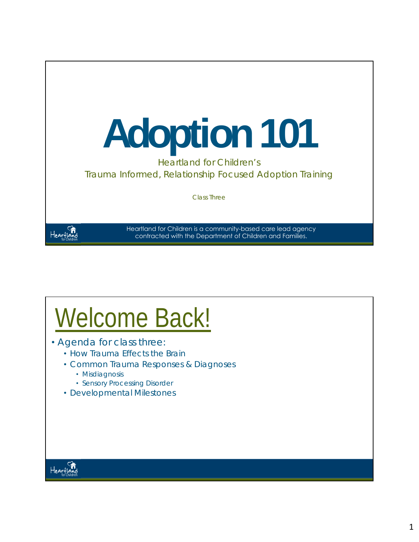

## Welcome Back!

- Agenda for class three:
	- How Trauma Effects the Brain
	- Common Trauma Responses & Diagnoses
		- Misdiagnosis
		- Sensory Processing Disorder
	- Developmental Milestones

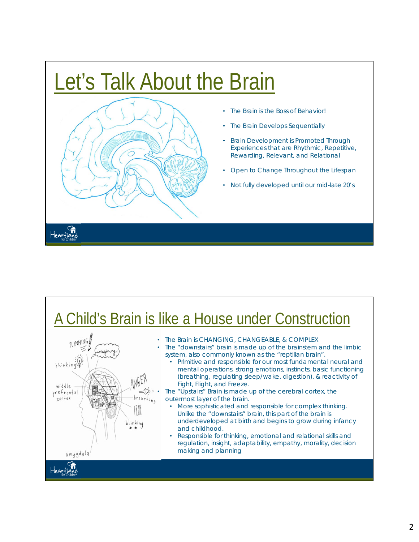### Let's Talk About the Brain



- The Brain is the Boss of Behavior!
- The Brain Develops Sequentially
- Brain Development is Promoted Through Experiences that are Rhythmic, Repetitive, Rewarding, Relevant, and Relational
- Open to Change Throughout the Lifespan
- Not fully developed until our mid-late 20's

#### A Child's Brain is like a House under Construction



- The Brain is CHANGING, CHANGEABLE, & COMPLEX
	- The "downstairs" brain is made up of the brainstem and the limbic system, also commonly known as the "reptilian brain".
		- Primitive and responsible for our most fundamental neural and mental operations, strong emotions, instincts, basic functioning (breathing, regulating sleep/wake, digestion), & reactivity of Fight, Flight, and Freeze.

 $\preceq_{\mathbb{Q}}^{\mathfrak{H}_{1}}$  • The "Upstairs" Brain is made up of the cerebral cortex, the outermost layer of the brain.

- More sophisticated and responsible for complex thinking. Unlike the "downstairs" brain, this part of the brain is underdeveloped at birth and begins to grow during infancy and childhood.
- Responsible for thinking, emotional and relational skills and regulation, insight, adaptability, empathy, morality, decision making and planning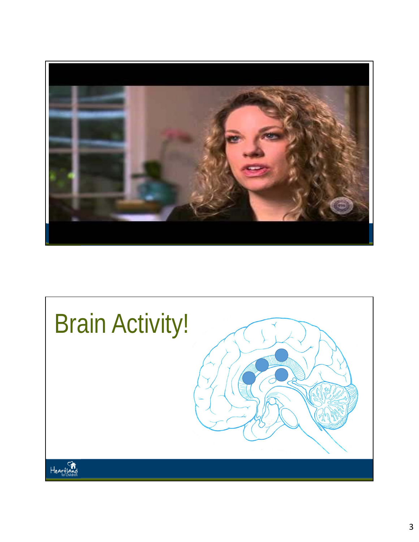

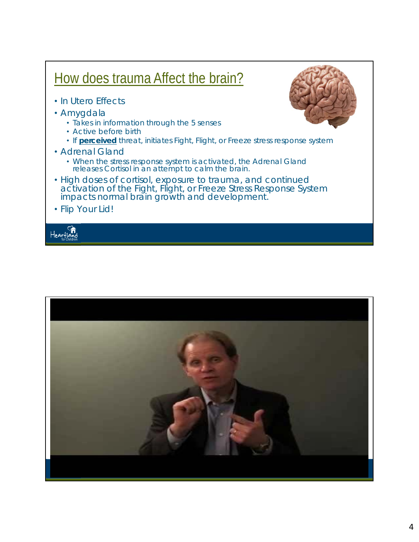#### How does trauma Affect the brain? • In Utero Effects • Amygdala • Takes in information through the 5 senses • Active before birth • If **perceived** threat, initiates Fight, Flight, or Freeze stress response system • Adrenal Gland • When the stress response system is activated, the Adrenal Gland releases Cortisol in an attempt to calm the brain. • High doses of cortisol, exposure to trauma, and continued activation of the Fight, Flight, or Freeze Stress Response System impacts normal brain growth and development. • Flip Your Lid!Hearflo



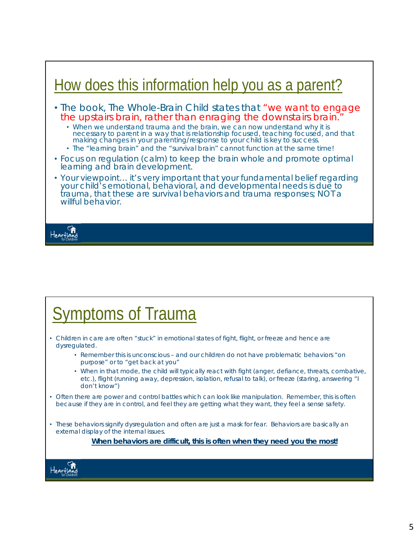

### Symptoms of Trauma

- Children in care are often "stuck" in emotional states of fight, flight, or freeze and hence are dysregulated.
	- Remember this is unconscious and our children do not have problematic behaviors "on purpose" or to "get back at you"
	- When in that mode, the child will typically react with fight (anger, defiance, threats, combative, etc.), flight (running away, depression, isolation, refusal to talk), or freeze (staring, answering "I don't know")
- Often there are power and control battles which can look like manipulation. Remember, this is often because if they are in control, and feel they are getting what they want, they feel a sense safety.
- These behaviors signify dysregulation and often are just a mask for fear. Behaviors are basically an external display of the internal issues.

*When behaviors are difficult, this is often when they need you the most!*

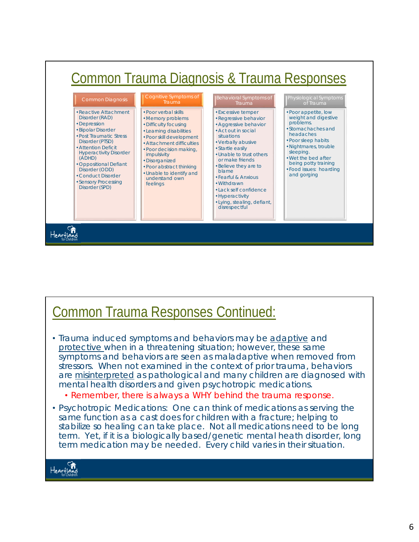

#### Common Trauma Responses Continued:

- Trauma induced symptoms and behaviors may be adaptive and protective when in a threatening situation; however, these same symptoms and behaviors are seen as maladaptive when removed from stressors. When not examined in the context of prior trauma, behaviors are *misinterpreted* as pathological and many children are diagnosed with mental health disorders and given psychotropic medications.
	- *Remember, there is always a WHY behind the trauma response.*
- Psychotropic Medications: One can think of medications as serving the same function as a cast does for children with a fracture; helping to stabilize so healing can take place. Not all medications need to be long term. Yet, if it is a biologically based/genetic mental heath disorder, long term medication may be needed. Every child varies in their situation.

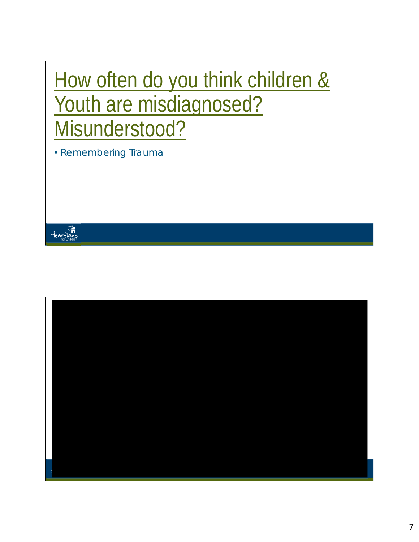### How often do you think children & Youth are misdiagnosed? Misunderstood?

• Remembering Trauma



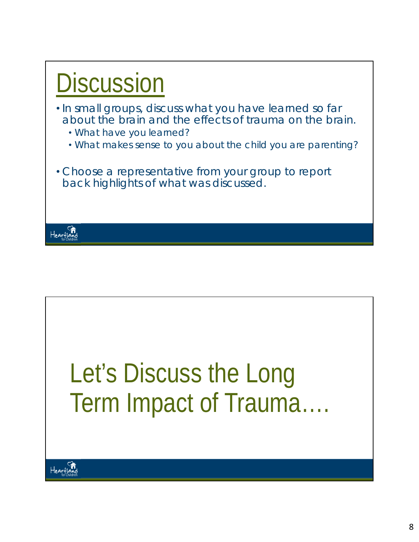



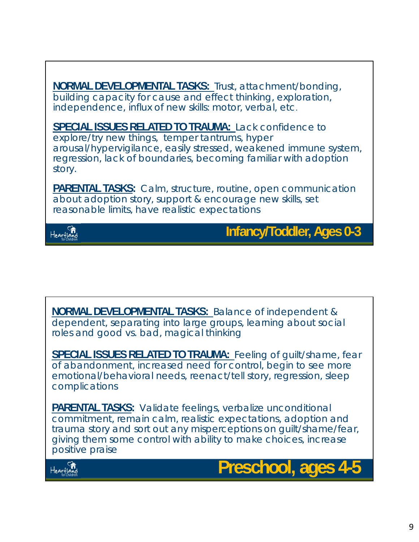**NORMAL DEVELOPMENTAL TASKS:** Trust, attachment/bonding, building capacity for cause and effect thinking, exploration, independence, influx of new skills: motor, verbal, etc. **SPECIAL ISSUES RELATED TO TRAUMA:** Lack confidence to explore/try new things, temper tantrums, hyper arousal/hypervigilance, easily stressed, weakened immune system, regression, lack of boundaries, becoming familiar with adoption story. **PARENTAL TASKS:** Calm, structure, routine, open communication about adoption story, support & encourage new skills, set reasonable limits, have realistic expectations



**Infancy/Toddler, Ages 0-3** 

**NORMAL DEVELOPMENTAL TASKS:** Balance of independent & dependent, separating into large groups, learning about social roles and good vs. bad, magical thinking

**SPECIAL ISSUES RELATED TO TRAUMA:** Feeling of guilt/shame, fear of abandonment, increased need for control, begin to see more emotional/behavioral needs, reenact/tell story, regression, sleep complications

**PARENTAL TASKS:** Validate feelings, verbalize unconditional commitment, remain calm, realistic expectations, adoption and trauma story and sort out any misperceptions on guilt/shame/fear, giving them some control with ability to make choices, increase positive praise



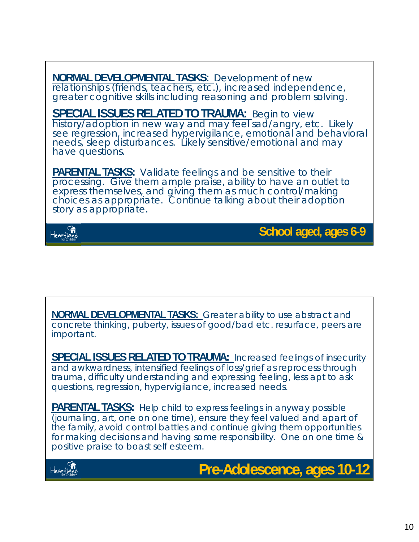**NORMAL DEVELOPMENTAL TASKS:** Development of new relationships (friends, teachers, etc.), increased independence, greater cognitive skills including reasoning and problem solving.

**SPECIAL ISSUES RELATED TO TRAUMA:** Begin to view history/adoption in new way and may feel sad/angry, etc. Likely see regression, increased hypervigilance, emotional and behavioral needs, sleep disturbances. Likely sensitive/emotional and may have questions.

**PARENTAL TASKS:** Validate feelings and be sensitive to their processing. Give them ample praise, ability to have an outlet to express themselves, and giving them as much control/making choices as appropriate. Continue talking about their adoption story as appropriate.



**School aged, ages 6-9**

**NORMAL DEVELOPMENTAL TASKS:** Greater ability to use abstract and concrete thinking, puberty, issues of good/bad etc. resurface, peers are important.

**SPECIAL ISSUES RELATED TO TRAUMA:** Increased feelings of insecurity and awkwardness, intensified feelings of loss/grief as reprocess through trauma, difficulty understanding and expressing feeling, less apt to ask questions, regression, hypervigilance, increased needs.

**PARENTAL TASKS:** Help child to express feelings in anyway possible (journaling, art, one on one time), ensure they feel valued and apart of the family, avoid control battles and continue giving them opportunities for making decisions and having some responsibility. One on one time & positive praise to boast self esteem.



**Pre-Adolescence, ages 10-12**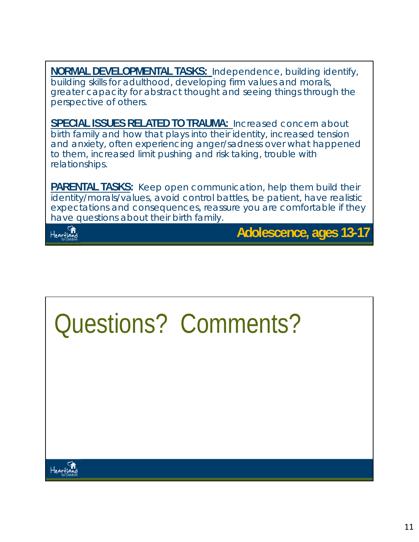**NORMAL DEVELOPMENTAL TASKS:** Independence, building identify, building skills for adulthood, developing firm values and morals, greater capacity for abstract thought and seeing things through the perspective of others.

**SPECIAL ISSUES RELATED TO TRAUMA:** Increased concern about birth family and how that plays into their identity, increased tension and anxiety, often experiencing anger/sadness over what happened to them, increased limit pushing and risk taking, trouble with relationships.

**PARENTAL TASKS:** Keep open communication, help them build their identity/morals/values, avoid control battles, be patient, have realistic expectations and consequences, reassure you are comfortable if they have questions about their birth family.



**Adolescence, ages 13-17**

## Questions? Comments?